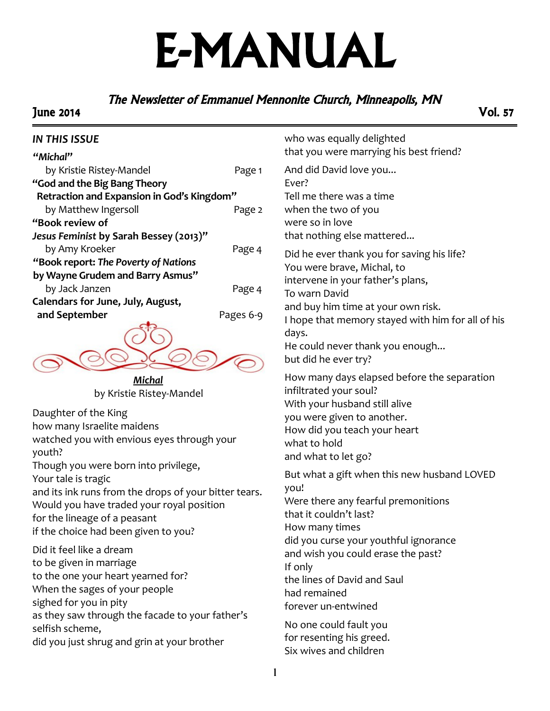# E-MANUAL

## The Newsletter of Emmanuel Mennonite Church, Minneapolis, MN

### June 2014 Vol. 57

#### *IN THIS ISSUE*

| "Michal"                                   |           |
|--------------------------------------------|-----------|
| by Kristie Ristey-Mandel                   | Page 1    |
| "God and the Big Bang Theory               |           |
| Retraction and Expansion in God's Kingdom" |           |
| by Matthew Ingersoll                       | Page 2    |
| "Book review of                            |           |
| Jesus Feminist by Sarah Bessey (2013)"     |           |
| by Amy Kroeker                             | Page 4    |
| "Book report: The Poverty of Nations       |           |
| by Wayne Grudem and Barry Asmus"           |           |
| by Jack Janzen                             | Page 4    |
| Calendars for June, July, August,          |           |
| and September                              | Pages 6-9 |
|                                            |           |
|                                            |           |

*Michal* by Kristie Ristey-Mandel

Daughter of the King how many Israelite maidens watched you with envious eyes through your youth? Though you were born into privilege, Your tale is tragic and its ink runs from the drops of your bitter tears. Would you have traded your royal position for the lineage of a peasant if the choice had been given to you?

Did it feel like a dream to be given in marriage to the one your heart yearned for? When the sages of your people sighed for you in pity as they saw through the facade to your father's selfish scheme, did you just shrug and grin at your brother

who was equally delighted that you were marrying his best friend?

And did David love you... Ever? Tell me there was a time when the two of you were so in love that nothing else mattered...

Did he ever thank you for saving his life? You were brave, Michal, to intervene in your father's plans, To warn David and buy him time at your own risk. I hope that memory stayed with him for all of his days.

```
He could never thank you enough...
```
but did he ever try?

How many days elapsed before the separation infiltrated your soul? With your husband still alive you were given to another. How did you teach your heart what to hold and what to let go?

But what a gift when this new husband LOVED you! Were there any fearful premonitions that it couldn't last? How many times did you curse your youthful ignorance and wish you could erase the past? If only the lines of David and Saul had remained forever un-entwined No one could fault you

for resenting his greed. Six wives and children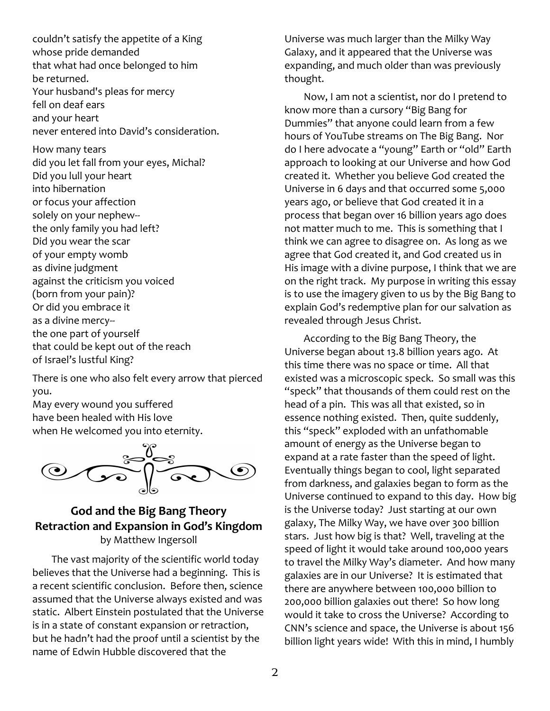couldn't satisfy the appetite of a King whose pride demanded that what had once belonged to him be returned. Your husband's pleas for mercy fell on deaf ears and your heart never entered into David's consideration.

How many tears did you let fall from your eyes, Michal? Did you lull your heart into hibernation or focus your affection solely on your nephew- the only family you had left? Did you wear the scar of your empty womb as divine judgment against the criticism you voiced (born from your pain)? Or did you embrace it as a divine mercy- the one part of yourself that could be kept out of the reach of Israel's lustful King?

There is one who also felt every arrow that pierced you.

May every wound you suffered have been healed with His love when He welcomed you into eternity.



## **God and the Big Bang Theory Retraction and Expansion in God's Kingdom** by Matthew Ingersoll

The vast majority of the scientific world today believes that the Universe had a beginning. This is a recent scientific conclusion. Before then, science assumed that the Universe always existed and was static. Albert Einstein postulated that the Universe is in a state of constant expansion or retraction, but he hadn't had the proof until a scientist by the name of Edwin Hubble discovered that the

Universe was much larger than the Milky Way Galaxy, and it appeared that the Universe was expanding, and much older than was previously thought.

Now, I am not a scientist, nor do I pretend to know more than a cursory "Big Bang for Dummies" that anyone could learn from a few hours of YouTube streams on The Big Bang. Nor do I here advocate a "young" Earth or "old" Earth approach to looking at our Universe and how God created it. Whether you believe God created the Universe in 6 days and that occurred some 5,000 years ago, or believe that God created it in a process that began over 16 billion years ago does not matter much to me. This is something that I think we can agree to disagree on. As long as we agree that God created it, and God created us in His image with a divine purpose, I think that we are on the right track. My purpose in writing this essay is to use the imagery given to us by the Big Bang to explain God's redemptive plan for our salvation as revealed through Jesus Christ.

According to the Big Bang Theory, the Universe began about 13.8 billion years ago. At this time there was no space or time. All that existed was a microscopic speck. So small was this "speck" that thousands of them could rest on the head of a pin. This was all that existed, so in essence nothing existed. Then, quite suddenly, this "speck" exploded with an unfathomable amount of energy as the Universe began to expand at a rate faster than the speed of light. Eventually things began to cool, light separated from darkness, and galaxies began to form as the Universe continued to expand to this day. How big is the Universe today? Just starting at our own galaxy, The Milky Way, we have over 300 billion stars. Just how big is that? Well, traveling at the speed of light it would take around 100,000 years to travel the Milky Way's diameter. And how many galaxies are in our Universe? It is estimated that there are anywhere between 100,000 billion to 200,000 billion galaxies out there! So how long would it take to cross the Universe? According to CNN's science and space, the Universe is about 156 billion light years wide! With this in mind, I humbly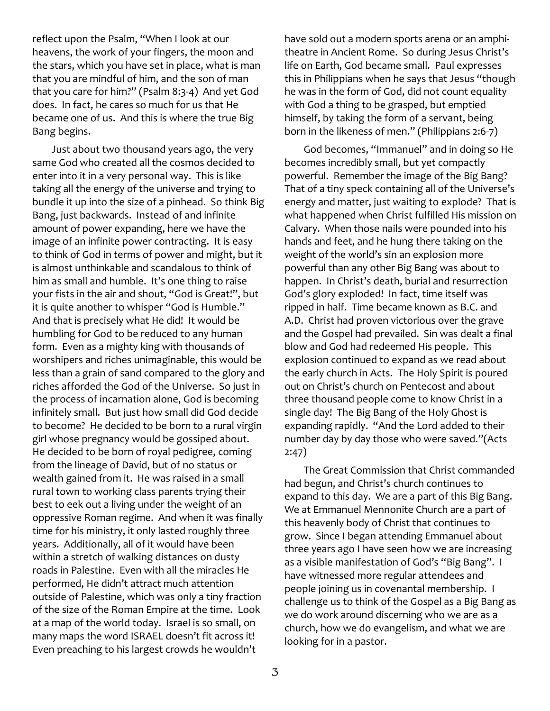reflect upon the Psalm, "When I look at our heavens, the work of your fingers, the moon and the stars, which you have set in place, what is man that you are mindful of him, and the son of man that you care for him?" (Psalm 8:3-4) And yet God does. In fact, he cares so much for us that He became one of us. And this is where the true Big Bang begins.

Just about two thousand years ago, the very same God who created all the cosmos decided to enter into it in a very personal way. This is like taking all the energy of the universe and trying to bundle it up into the size of a pinhead. So think Big Bang, just backwards. Instead of and infinite amount of power expanding, here we have the image of an infinite power contracting. It is easy to think of God in terms of power and might, but it is almost unthinkable and scandalous to think of him as small and humble. It's one thing to raise your fists in the air and shout, "God is Great!", but it is quite another to whisper "God is Humble." And that is precisely what He did! It would be humbling for God to be reduced to any human form. Even as a mighty king with thousands of worshipers and riches unimaginable, this would be less than a grain of sand compared to the glory and riches afforded the God of the Universe. So just in the process of incarnation alone, God is becoming infinitely small. But just how small did God decide to become? He decided to be born to a rural virgin girl whose pregnancy would be gossiped about. He decided to be born of royal pedigree, coming from the lineage of David, but of no status or wealth gained from it. He was raised in a small rural town to working class parents trying their best to eek out a living under the weight of an oppressive Roman regime. And when it was finally time for his ministry, it only lasted roughly three years. Additionally, all of it would have been within a stretch of walking distances on dusty roads in Palestine. Even with all the miracles He performed, He didn't attract much attention outside of Palestine, which was only a tiny fraction of the size of the Roman Empire at the time. Look at a map of the world today. Israel is so small, on many maps the word ISRAEL doesn't fit across it! Even preaching to his largest crowds he wouldn't

have sold out a modern sports arena or an amphitheatre in Ancient Rome. So during Jesus Christ's life on Earth, God became small. Paul expresses this in Philippians when he says that Jesus "though he was in the form of God, did not count equality with God a thing to be grasped, but emptied himself, by taking the form of a servant, being born in the likeness of men." (Philippians 2:6-7)

God becomes, "Immanuel" and in doing so He becomes incredibly small, but yet compactly powerful. Remember the image of the Big Bang? That of a tiny speck containing all of the Universe's energy and matter, just waiting to explode? That is what happened when Christ fulfilled His mission on Calvary. When those nails were pounded into his hands and feet, and he hung there taking on the weight of the world's sin an explosion more powerful than any other Big Bang was about to happen. In Christ's death, burial and resurrection God's glory exploded! In fact, time itself was ripped in half. Time became known as B.C. and A.D. Christ had proven victorious over the grave and the Gospel had prevailed. Sin was dealt a final blow and God had redeemed His people. This explosion continued to expand as we read about the early church in Acts. The Holy Spirit is poured out on Christ's church on Pentecost and about three thousand people come to know Christ in a single day! The Big Bang of the Holy Ghost is expanding rapidly. "And the Lord added to their number day by day those who were saved."(Acts 2:47)

The Great Commission that Christ commanded had begun, and Christ's church continues to expand to this day. We are a part of this Big Bang. We at Emmanuel Mennonite Church are a part of this heavenly body of Christ that continues to grow. Since I began attending Emmanuel about three years ago I have seen how we are increasing as a visible manifestation of God's "Big Bang". I have witnessed more regular attendees and people joining us in covenantal membership. I challenge us to think of the Gospel as a Big Bang as we do work around discerning who we are as a church, how we do evangelism, and what we are looking for in a pastor.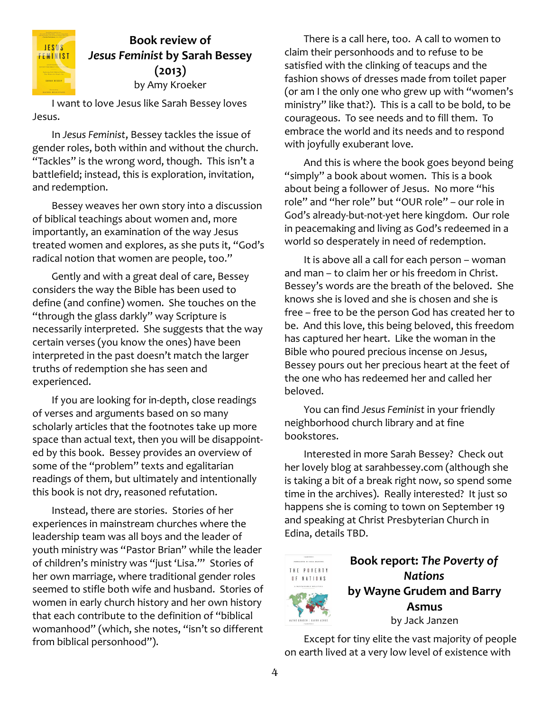

## **Book review of** *Jesus Feminist* **by Sarah Bessey (2013)** by Amy Kroeker

I want to love Jesus like Sarah Bessey loves Jesus.

In *Jesus Feminist*, Bessey tackles the issue of gender roles, both within and without the church. "Tackles" is the wrong word, though. This isn't a battlefield; instead, this is exploration, invitation, and redemption.

Bessey weaves her own story into a discussion of biblical teachings about women and, more importantly, an examination of the way Jesus treated women and explores, as she puts it, "God's radical notion that women are people, too."

Gently and with a great deal of care, Bessey considers the way the Bible has been used to define (and confine) women. She touches on the "through the glass darkly" way Scripture is necessarily interpreted. She suggests that the way certain verses (you know the ones) have been interpreted in the past doesn't match the larger truths of redemption she has seen and experienced.

If you are looking for in-depth, close readings of verses and arguments based on so many scholarly articles that the footnotes take up more space than actual text, then you will be disappointed by this book. Bessey provides an overview of some of the "problem" texts and egalitarian readings of them, but ultimately and intentionally this book is not dry, reasoned refutation.

Instead, there are stories. Stories of her experiences in mainstream churches where the leadership team was all boys and the leader of youth ministry was "Pastor Brian" while the leader of children's ministry was "just 'Lisa.'" Stories of her own marriage, where traditional gender roles seemed to stifle both wife and husband. Stories of women in early church history and her own history that each contribute to the definition of "biblical womanhood" (which, she notes, "isn't so different from biblical personhood").

There is a call here, too. A call to women to claim their personhoods and to refuse to be satisfied with the clinking of teacups and the fashion shows of dresses made from toilet paper (or am I the only one who grew up with "women's ministry" like that?). This is a call to be bold, to be courageous. To see needs and to fill them. To embrace the world and its needs and to respond with joyfully exuberant love.

And this is where the book goes beyond being "simply" a book about women. This is a book about being a follower of Jesus. No more "his role" and "her role" but "OUR role" – our role in God's already-but-not-yet here kingdom. Our role in peacemaking and living as God's redeemed in a world so desperately in need of redemption.

It is above all a call for each person – woman and man – to claim her or his freedom in Christ. Bessey's words are the breath of the beloved. She knows she is loved and she is chosen and she is free – free to be the person God has created her to be. And this love, this being beloved, this freedom has captured her heart. Like the woman in the Bible who poured precious incense on Jesus, Bessey pours out her precious heart at the feet of the one who has redeemed her and called her beloved.

You can find *Jesus Feminist* in your friendly neighborhood church library and at fine bookstores.

Interested in more Sarah Bessey? Check out her lovely blog at sarahbessey.com (although she is taking a bit of a break right now, so spend some time in the archives). Really interested? It just so happens she is coming to town on September 19 and speaking at Christ Presbyterian Church in Edina, details TBD.



**Book report:** *The Poverty of Nations* **by Wayne Grudem and Barry Asmus** by Jack Janzen

Except for tiny elite the vast majority of people on earth lived at a very low level of existence with